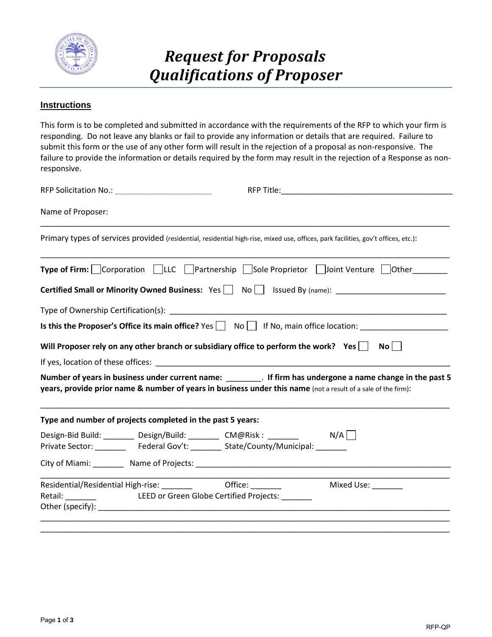

## *Request for Proposals Qualifications of Proposer*

## **Instructions**

This form is to be completed and submitted in accordance with the requirements of the RFP to which your firm is responding. Do not leave any blanks or fail to provide any information or details that are required. Failure to submit this form or the use of any other form will result in the rejection of a proposal as non-responsive. The failure to provide the information or details required by the form may result in the rejection of a Response as nonresponsive.

| Name of Proposer: |                                                                                    |                                                                                                                                                                                                                               |  |
|-------------------|------------------------------------------------------------------------------------|-------------------------------------------------------------------------------------------------------------------------------------------------------------------------------------------------------------------------------|--|
|                   |                                                                                    | Primary types of services provided (residential, residential high-rise, mixed use, offices, park facilities, gov't offices, etc.):                                                                                            |  |
|                   |                                                                                    | Type of Firm: Corporation □LLC □ Partnership □ Sole Proprietor □ Joint Venture □ Other______                                                                                                                                  |  |
|                   |                                                                                    | Certified Small or Minority Owned Business: Yes   No   Issued By (name): __________________________                                                                                                                           |  |
|                   |                                                                                    |                                                                                                                                                                                                                               |  |
|                   |                                                                                    |                                                                                                                                                                                                                               |  |
|                   |                                                                                    | Will Proposer rely on any other branch or subsidiary office to perform the work? Yes $\Box$ No $\Box$                                                                                                                         |  |
|                   |                                                                                    |                                                                                                                                                                                                                               |  |
|                   |                                                                                    | Number of years in business under current name: _________. If firm has undergone a name change in the past 5<br>years, provide prior name & number of years in business under this name (not a result of a sale of the firm): |  |
|                   | Type and number of projects completed in the past 5 years:                         |                                                                                                                                                                                                                               |  |
|                   | Design-Bid Build: ________ Design/Build: ________ CM@Risk: _______ M/A             |                                                                                                                                                                                                                               |  |
|                   | Private Sector: __________ Federal Gov't: ________ State/County/Municipal: _______ |                                                                                                                                                                                                                               |  |
|                   |                                                                                    |                                                                                                                                                                                                                               |  |
|                   | Residential/Residential High-rise: _________ Office: ______                        | Mixed Use: ________                                                                                                                                                                                                           |  |
|                   |                                                                                    |                                                                                                                                                                                                                               |  |
|                   |                                                                                    |                                                                                                                                                                                                                               |  |
|                   |                                                                                    |                                                                                                                                                                                                                               |  |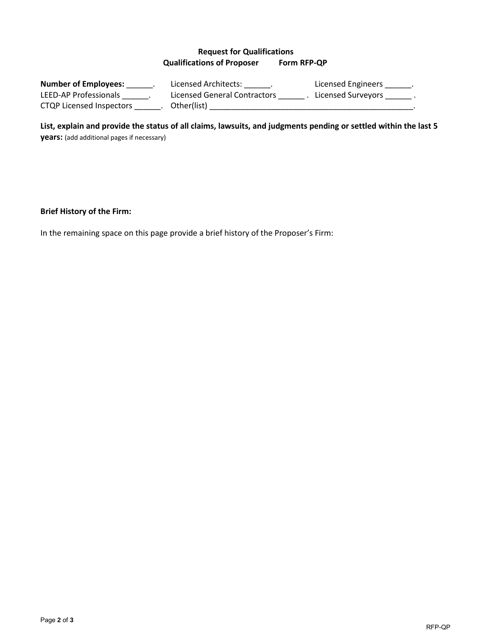## **Request for Qualifications Qualifications of Proposer Form RFP-QP**

| <b>Number of Employees:</b> | Licensed Architects:         | Licensed Engineers |
|-----------------------------|------------------------------|--------------------|
| LEED-AP Professionals       | Licensed General Contractors | Licensed Surveyors |
| CTQP Licensed Inspectors    | Other(list)                  |                    |

**List, explain and provide the status of all claims, lawsuits, and judgments pending or settled within the last 5 years:** (add additional pages if necessary)

**Brief History of the Firm:**

In the remaining space on this page provide a brief history of the Proposer's Firm: